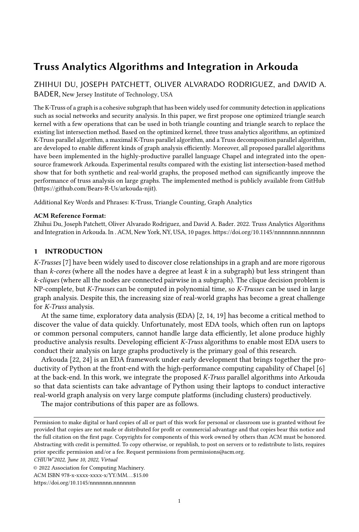# Truss Analytics Algorithms and Integration in Arkouda

[ZHIHUI DU,](HTTPS://ORCID.ORG/1234-5678-9012) JOSEPH PATCHETT, OLIVER ALVARADO RODRIGUEZ, and DAVID A. BADER, New Jersey Institute of Technology, USA

The K-Truss of a graph is a cohesive subgraph that has been widely used for community detection in applications such as social networks and security analysis. In this paper, we first propose one optimized triangle search kernel with a few operations that can be used in both triangle counting and triangle search to replace the existing list intersection method. Based on the optimized kernel, three truss analytics algorithms, an optimized K-Truss parallel algorithm, a maximal K-Truss parallel algorithm, and a Truss decomposition parallel algorithm, are developed to enable different kinds of graph analysis efficiently. Moreover, all proposed parallel algorithms have been implemented in the highly-productive parallel language Chapel and integrated into the opensource framework Arkouda. Experimental results compared with the existing list intersection-based method show that for both synthetic and real-world graphs, the proposed method can significantly improve the performance of truss analysis on large graphs. The implemented method is publicly available from GitHub (https://github.com/Bears-R-Us/arkouda-njit).

Additional Key Words and Phrases: K-Truss, Triangle Counting, Graph Analytics

## ACM Reference Format:

Zhihui Du, Joseph Patchett, Oliver Alvarado Rodriguez, and David A. Bader. 2022. Truss Analytics Algorithms and Integration in Arkouda. In . ACM, New York, NY, USA, [10](#page-9-0) pages.<https://doi.org/10.1145/nnnnnnn.nnnnnnn>

## 1 INTRODUCTION

K-Trusses [\[7\]](#page-8-0) have been widely used to discover close relationships in a graph and are more rigorous than  $k$ -cores (where all the nodes have a degree at least  $k$  in a subgraph) but less stringent than k-cliques (where all the nodes are connected pairwise in a subgraph). The clique decision problem is NP-complete, but K-Trusses can be computed in polynomial time, so K-Trusses can be used in large graph analysis. Despite this, the increasing size of real-world graphs has become a great challenge for K-Truss analysis.

At the same time, exploratory data analysis (EDA) [\[2,](#page-7-0) [14,](#page-8-1) [19\]](#page-8-2) has become a critical method to discover the value of data quickly. Unfortunately, most EDA tools, which often run on laptops or common personal computers, cannot handle large data efficiently, let alone produce highly productive analysis results. Developing efficient K-Truss algorithms to enable most EDA users to conduct their analysis on large graphs productively is the primary goal of this research.

Arkouda [\[22,](#page-8-3) [24\]](#page-8-4) is an EDA framework under early development that brings together the productivity of Python at the front-end with the high-performance computing capability of Chapel [\[6\]](#page-8-5) at the back-end. In this work, we integrate the proposed K-Truss parallel algorithms into Arkouda so that data scientists can take advantage of Python using their laptops to conduct interactive real-world graph analysis on very large compute platforms (including clusters) productively.

The major contributions of this paper are as follows.

Permission to make digital or hard copies of all or part of this work for personal or classroom use is granted without fee provided that copies are not made or distributed for profit or commercial advantage and that copies bear this notice and the full citation on the first page. Copyrights for components of this work owned by others than ACM must be honored. Abstracting with credit is permitted. To copy otherwise, or republish, to post on servers or to redistribute to lists, requires prior specific permission and/or a fee. Request permissions from permissions@acm.org.

CHIUW'2022, June 10, 2022, Virtual

<sup>©</sup> 2022 Association for Computing Machinery.

ACM ISBN 978-x-xxxx-xxxx-x/YY/MM. . . \$15.00

<https://doi.org/10.1145/nnnnnnn.nnnnnnn>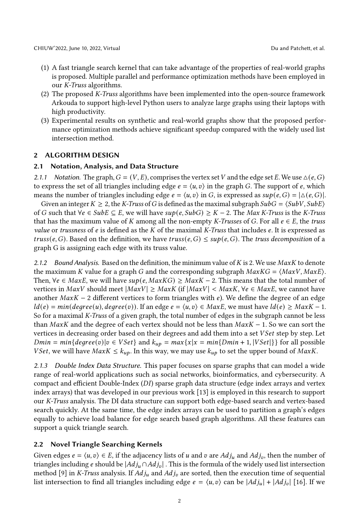- (1) A fast triangle search kernel that can take advantage of the properties of real-world graphs is proposed. Multiple parallel and performance optimization methods have been employed in our K-Truss algorithms.
- (2) The proposed K-Truss algorithms have been implemented into the open-source framework Arkouda to support high-level Python users to analyze large graphs using their laptops with high productivity.
- (3) Experimental results on synthetic and real-world graphs show that the proposed performance optimization methods achieve significant speedup compared with the widely used list intersection method.

## 2 ALGORITHM DESIGN

#### <span id="page-1-0"></span>2.1 Notation, Analysis, and Data Structure

2.1.1 Notation. The graph,  $G = (V, E)$ , comprises the vertex set V and the edge set E. We use  $\Delta(e, G)$ to express the set of all triangles including edge  $e = \langle u, v \rangle$  in the graph G. The support of e, which means the number of triangles including edge  $e = \langle u, v \rangle$  in G, is expressed as  $sup(e, G) = |\Delta(e, G)|$ .

Given an integer  $K \geq 2$ , the K-Truss of G is defined as the maximal subgraph  $SubG = \langle SubV, SubE \rangle$ of G such that  $∀e ∈ SubE ⊆ E$ , we will have  $sup(e, SubG) ≥ K - 2$ . The Max K-Truss is the K-Truss that has the maximum value of K among all the non-empty K-Trusses of G. For all  $e \in E$ , the truss value or trussness of  $e$  is defined as the  $K$  of the maximal K-Truss that includes  $e$ . It is expressed as truss(e, G). Based on the definition, we have truss(e, G)  $\leq$  sup(e, G). The truss decomposition of a graph G is assigning each edge with its truss value.

2.1.2 Bound Analysis. Based on the definition, the minimum value of  $K$  is 2. We use  $MaxK$  to denote the maximum K value for a graph G and the corresponding subgraph  $MaxKG = \langle MaxV, MaxE \rangle$ . Then,  $\forall e \in MaxE$ , we will have  $sup(e, MaxKG) \geq MaxK - 2$ . This means that the total number of vertices in  $MaxV$  should meet  $|MaxV| \geq MaxK$  (if  $|MaxV| < MaxK$ ,  $\forall e \in MaxE$ , we cannot have another  $MaxK - 2$  different vertices to form triangles with  $e$ ). We define the degree of an edge  $ld(e) = min(degree(u), degree(v)).$  If an edge  $e = \langle u, v \rangle \in MaxE$ , we must have  $ld(e) \geq MaxK - 1$ . So for a maximal K-Truss of a given graph, the total number of edges in the subgraph cannot be less than  $MaxK$  and the degree of each vertex should not be less than  $MaxK - 1$ . So we can sort the vertices in decreasing order based on their degrees and add them into a set VSet step by step. Let  $Dmin = min\{degree(v)|v \in VSet\}$  and  $k_{up} = max\{x|x = min\{Dmin + 1, |VSet|\}\}$  for all possible *VSet*, we will have  $MaxK \leq k_{up}$ . In this way, we may use  $k_{up}$  to set the upper bound of *MaxK*.

2.1.3 Double Index Data Structure. This paper focuses on sparse graphs that can model a wide range of real-world applications such as social networks, bioinformatics, and cybersecurity. A compact and efficient Double-Index (DI) sparse graph data structure (edge index arrays and vertex index arrays) that was developed in our previous work [\[13\]](#page-8-6) is employed in this research to support our K-Truss analysis. The DI data structure can support both edge-based search and vertex-based search quickly. At the same time, the edge index arrays can be used to partition a graph's edges equally to achieve load balance for edge search based graph algorithms. All these features can support a quick triangle search.

# 2.2 Novel Triangle Searching Kernels

Given edges  $e = \langle u, v \rangle \in E$ , if the adjacency lists of u and v are  $Adj_u$  and  $Adj_v$ , then the number of triangles including e should be  $|Adj_u \cap Adj_v|$ . This is the formula of the widely used list intersection method [\[9\]](#page-8-7) in K-Truss analysis. If  $Adj_u$  and  $Adj_v$  are sorted, then the execution time of sequential list intersection to find all triangles including edge  $e = \langle u, v \rangle$  can be  $|Adj_u| + |Adj_v|$  [\[16\]](#page-8-8). If we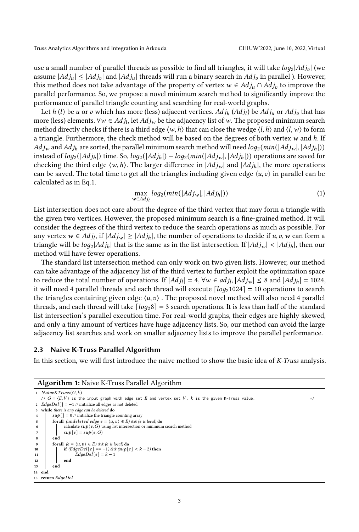Truss Analytics Algorithms and Integration in Arkouda CHIUW'2022, June 10, 2022, Virtual

use a small number of parallel threads as possible to find all triangles, it will take  $log_2|Adj_v|$  (we assume  $|Adj_u| \leq |Adj_v|$  and  $|Adj_u|$  threads will run a binary search in  $Adj_v$  in parallel ). However, this method does not take advantage of the property of vertex  $w \in Adj_u \cap Adj_v$  to improve the parallel performance. So, we propose a novel minimum search method to significantly improve the performance of parallel triangle counting and searching for real-world graphs.

Let h (l) be u or v which has more (less) adjacent vertices.  $Adj_h (Adj_l)$  be  $Adj_u$  or  $Adj_v$  that has more (less) elements.  $\forall w \in Adj_l$ , let  $Adj_w$  be the adjacency list of w. The proposed minimum search method directly checks if there is a third edge  $\langle w, h \rangle$  that can close the wedge  $\langle l, h \rangle$  and  $\langle l, w \rangle$  to form a triangle. Furthermore, the check method will be based on the degrees of both vertex w and h. If  $Adj_w$  and  $Adj_h$  are sorted, the parallel minimum search method will need  $log_2(min(|Adj_w|, |Adj_h|))$ instead of  $log_2( |Adj_h|)$  time. So,  $log_2(|Adj_h|) - log_2(min(|Adj_w|, |Adj_h|))$  operations are saved for checking the third edge  $\langle w, h \rangle$ . The larger difference in  $|Adj_w|$  and  $|Adj_h|$ , the more operations can be saved. The total time to get all the triangles including given edge  $\langle u, v \rangle$  in parallel can be calculated as in Eq[.1.](#page-2-0)

<span id="page-2-0"></span>
$$
\max_{w \in Adj_l} log_2(min(|Adj_w|, |Adj_h|))
$$
\n(1)

List intersection does not care about the degree of the third vertex that may form a triangle with the given two vertices. However, the proposed minimum search is a fine-grained method. It will consider the degrees of the third vertex to reduce the search operations as much as possible. For any vertex  $w \in Adj_l$ , if  $|Adj_w| \ge |Adj_h|$ , the number of operations to decide if  $u, v, w$  can form a triangle will be  $log_2|Adj_h|$  that is the same as in the list intersection. If  $|Adj_w| < |Adj_h|$ , then our method will have fewer operations.

The standard list intersection method can only work on two given lists. However, our method can take advantage of the adjacency list of the third vertex to further exploit the optimization space to reduce the total number of operations. If  $|Adj_l| = 4$ ,  $\forall w \in adj_l$ ,  $|Adj_w| \le 8$  and  $|Adj_h| = 1024$ , it will need 4 parallel threads and each thread will execute  $\lceil log_2 1024 \rceil = 10$  operations to search the triangles containing given edge  $\langle u, v \rangle$ . The proposed novel method will also need 4 parallel threads, and each thread will take  $\lceil log_2 8 \rceil = 3$  search operations. It is less than half of the standard list intersection's parallel execution time. For real-world graphs, their edges are highly skewed, and only a tiny amount of vertices have huge adjacency lists. So, our method can avoid the large adjacency list searches and work on smaller adjacency lists to improve the parallel performance.

# 2.3 Naive K-Truss Parallel Algorithm

In this section, we will first introduce the naive method to show the basic idea of K-Truss analysis.

#### Algorithm 1: Naive K-Truss Parallel Algorithm

```
1 NaiveKTruss(G, k)\forall x \ G = \langle E, V \rangle is the input graph with edge set E and vertex set V. k is the given K-Truss value.
 2  Edq e D e l ] = -1 // initialize all edges as not deleted
 3 while there is any edge can be deleted do
 4 | \textit{sup} \left[ \right] = 0 // initialize the triangle counting array
 5 forall (undeleted edge e = \langle u, v \rangle \in E) && (e is local) do
 6 calculate sup(e, G) using list intersection or minimum search method
  7  [ ] =  (, )
 8 end
 9 forall (e = \langle u, v \rangle \in E) \&\&\; (e \text{ is local}) \text{ do}<br>
10 if (\text{EdgeDel}[e] == -1) \&\&\; (\text{sup}[e] < k - 2) \text{ then}11 \left| \begin{array}{c} \end{array} \right| \left| \begin{array}{c} \end{array} \right| \left| \begin{array}{c} \end{array} \right| \left| \begin{array}{c} \end{array} \left| \begin{array}{c} \end{array} \right| \left| \begin{array}{c} \end{array} \right| \left| \begin{array}{c} \end{array} \right| \left| \begin{array}{c} \end{array} \right| \left| \begin{array}{c} \end{array} \right|12 end
13 end
14 end
15 return EdgeDel
```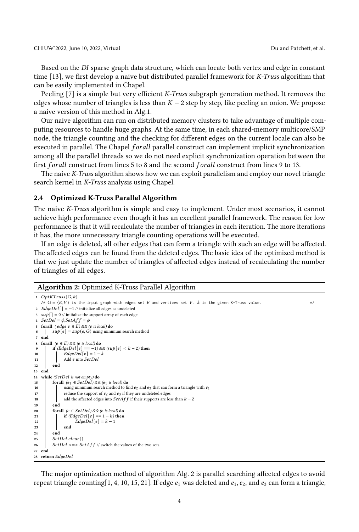Based on the DI sparse graph data structure, which can locate both vertex and edge in constant time [\[13\]](#page-8-6), we first develop a naive but distributed parallel framework for K-Truss algorithm that can be easily implemented in Chapel.

Peeling [\[7\]](#page-8-0) is a simple but very efficient *K-Truss* subgraph generation method. It removes the edges whose number of triangles is less than  $K - 2$  step by step, like peeling an onion. We propose a naive version of this method in Alg[.1.](#page-2-1)

Our naive algorithm can run on distributed memory clusters to take advantage of multiple computing resources to handle huge graphs. At the same time, in each shared-memory multicore/SMP node, the triangle counting and the checking for different edges on the current locale can also be executed in parallel. The Chapel *forall* parallel construct can implement implicit synchronization among all the parallel threads so we do not need explicit synchronization operation between the first *forall* construct from lines 5 to 8 and the second *forall* construct from lines 9 to 13.

The naive K-Truss algorithm shows how we can exploit parallelism and employ our novel triangle search kernel in K-Truss analysis using Chapel.

#### 2.4 Optimized K-Truss Parallel Algorithm

The naive K-Truss algorithm is simple and easy to implement. Under most scenarios, it cannot achieve high performance even though it has an excellent parallel framework. The reason for low performance is that it will recalculate the number of triangles in each iteration. The more iterations it has, the more unnecessary triangle counting operations will be executed.

If an edge is deleted, all other edges that can form a triangle with such an edge will be affected. The affected edges can be found from the deleted edges. The basic idea of the optimized method is that we just update the number of triangles of affected edges instead of recalculating the number of triangles of all edges.

## Algorithm 2: Optimized K-Truss Parallel Algorithm

```
1 OptKTruss(G, k)\forall \forall G = \langle E, V \rangle is the input graph with edges set E and vertices set V. k is the given K-Truss value.
 2 EdgeDel[] = -1 // initialize all edges as undeleted
 3 \sup[ ] = 0 // initialize the support array of each edge
 4 SetDel = \phi; SetAff = \phi5 forall \text{ (} edge \text{ } e \in E) \&\& \text{ (} e \text{ is local)} \text{ } do6 \vert \text{sup}[\mathbf{e}] = \text{sup}(\mathbf{e}, G) using minimum search method
 7 end
 8 forall (e \in E) \&\& (e \text{ is local}) \textbf{do}<br>9 if (EdgeDel[e] == -1) \&if (EdgeDel[e] == −1) && (sup[e] < k - 2) then
10 \bigcup \bigcup \bigcup \bigcup \bigcup \bigcup \bigcup \bigcup \bigcup \bigcup \bigcup \bigcup \bigcup \bigcup \bigcup \bigcup \bigcup \bigcup \bigcup \bigcup \bigcup \bigcup \bigcup \bigcup \bigcup \bigcup \bigcup \bigcup \bigcup \bigcup \bigcup \bigcup \bigcup \bigcup \bigcap \bigcap \11 | Add e into SetDel
12 end
13 end
14 while (SetDel is not empty) do<br>15 corall (e_1 \in SetDel) &&
15 forall (e_1 \in SetDel) \& \& (e_1 \text{ is local}) \&<br>16 for the state of the using minimum search method to fit
16 using minimum search method to find e_2 and e_3 that can form a triangle with e_1<br>17
                    reduce the support of e_2 and e_3 if they are undeleted edges
18 add the affected edges into SetAff if their supports are less than k - 219 end
20 forall (e \in SetDel) \&\& (e \text{ is local}) do
21 if (EdgeDel[e] == 1-k) then
22 \bigcup EdgeDel[e] = k - 123 end
24 end
25 SetDel.clear()
26 SetDel <=> SetAff // switch the values of the two sets.
27 end
28 return EdgeDel
```
The major optimization method of algorithm Alg. [2](#page-3-0) is parallel searching affected edges to avoid repeat triangle counting [\[1,](#page-7-1) [4,](#page-8-9) [10,](#page-8-10) [15,](#page-8-11) [21\]](#page-8-12). If edge  $e_1$  was deleted and  $e_1$ ,  $e_2$ , and  $e_3$  can form a triangle,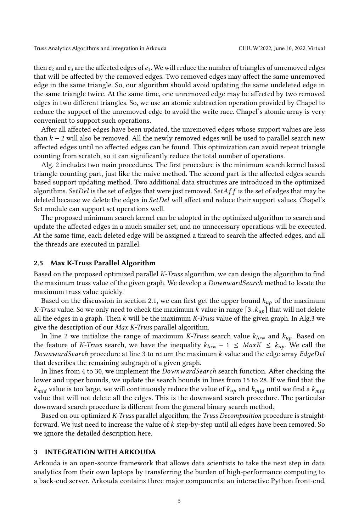then  $e_2$  and  $e_3$  are the affected edges of  $e_1$ . We will reduce the number of triangles of unremoved edges that will be affected by the removed edges. Two removed edges may affect the same unremoved edge in the same triangle. So, our algorithm should avoid updating the same undeleted edge in the same triangle twice. At the same time, one unremoved edge may be affected by two removed edges in two different triangles. So, we use an atomic subtraction operation provided by Chapel to reduce the support of the unremoved edge to avoid the write race. Chapel's atomic array is very convenient to support such operations.

After all affected edges have been updated, the unremoved edges whose support values are less than  $k - 2$  will also be removed. All the newly removed edges will be used to parallel search new affected edges until no affected edges can be found. This optimization can avoid repeat triangle counting from scratch, so it can significantly reduce the total number of operations.

Alg. [2](#page-3-0) includes two main procedures. The first procedure is the minimum search kernel based triangle counting part, just like the naive method. The second part is the affected edges search based support updating method. Two additional data structures are introduced in the optimized algorithms. Set Del is the set of edges that were just removed. Set Aff is the set of edges that may be deleted because we delete the edges in  $SetDel$  will affect and reduce their support values. Chapel's Set module can support set operations well.

The proposed minimum search kernel can be adopted in the optimized algorithm to search and update the affected edges in a much smaller set, and no unnecessary operations will be executed. At the same time, each deleted edge will be assigned a thread to search the affected edges, and all the threads are executed in parallel.

### 2.5 Max K-Truss Parallel Algorithm

Based on the proposed optimized parallel K-Truss algorithm, we can design the algorithm to find the maximum truss value of the given graph. We develop a *DownwardSearch* method to locate the maximum truss value quickly.

Based on the discussion in section [2.1,](#page-1-0) we can first get the upper bound  $k_{up}$  of the maximum K-Truss value. So we only need to check the maximum k value in range  $[3..k_{up}]$  that will not delete all the edges in a graph. Then k will be the maximum K-Truss value of the given graph. In Alg[.3](#page-5-0) we give the description of our Max K-Truss parallel algorithm.

In line 2 we initialize the range of maximum K-Truss search value  $k_{low}$  and  $k_{up}$ . Based on the feature of K-Truss search, we have the inequality  $k_{low} - 1 \leq \text{MaxK} \leq k_{up}$ . We call the DownwardSearch procedure at line 3 to return the maximum k value and the edge array EdgeDel that describes the remaining subgraph of a given graph.

In lines from 4 to 30, we implement the *DownwardSearch* search function. After checking the lower and upper bounds, we update the search bounds in lines from 15 to 28. If we find that the  $k_{mid}$  value is too large, we will continuously reduce the value of  $k_{up}$  and  $k_{mid}$  until we find a  $k_{mid}$ value that will not delete all the edges. This is the downward search procedure. The particular downward search procedure is different from the general binary search method.

Based on our optimized K-Truss parallel algorithm, the Truss Decomposition procedure is straightforward. We just need to increase the value of  $k$  step-by-step until all edges have been removed. So we ignore the detailed description here.

## 3 INTEGRATION WITH ARKOUDA

Arkouda is an open-source framework that allows data scientists to take the next step in data analytics from their own laptops by transferring the burden of high-performance computing to a back-end server. Arkouda contains three major components: an interactive Python front-end,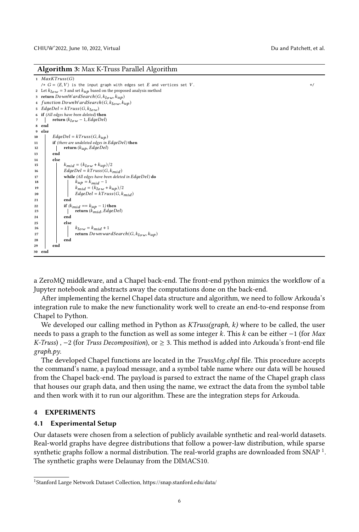Algorithm 3: Max K-Truss Parallel Algorithm

```
1 MaxKTruss(G)\forall \angle G = \langle E, V \rangle is the input graph with edges set E and vertices set V.
 2 Let k_{low} = 3 and set k_{up} based on the proposed analysis method
 3 return DownWardSearch(G, k_{low}, k_{up})function DownWardSearch(G, k_{low}, k_{up})5 EdgeDel = kTruss(G, k_{low})6 if (All edges have been deleted) then
 7 | return (k_{low} - 1, EdgeDel)8 end
 9 else
10 \qquad \qquad \qquad \qquad \qquad \qquad \qquad \qquad \qquad \qquad \qquad \qquad \qquad \qquad \qquad \qquad \qquad \qquad \qquad \qquad \qquad \qquad \qquad \qquad \qquad \qquad \qquad \qquad \qquad \qquad \qquad \qquad \qquad \qquad \qquad \qquad \11 if (there are undeleted edges in EdgeDel) then
12 return (k_{up}, EdgeDel)13 end
14 else
15 k_{mid} = (k_{low} + k_{up})/216 \qquad \qquad EdgeDel = kTruss(G, k_{mid})17 while (All edges have been deleted in EdgeDel) do
 18 k_{up} = k_{mid} - 119 k_{mid} = (k_{low} + k_{up})/220  =   (,  )
21 end
22 if (k_{mid} == k_{up} - 1) then<br>
23 if k_{mid} \leq k_{up} - 1return (k_{mid}, EdgeDel)
24 end
25 else
26 k_{low} = k_{mid} + 1<br>27 Example 1 Example 1 Example 1 Example 1 Example 2 Example 2 Example 2 Example 2 Example 2 Example 2 Example 2 Example 2 Example 2 Example 2 Example 2 Example 2 Example
                         return DownwardSearch(G, k_{low}, k_{up})28 end
29 end
30 end
```
a ZeroMQ middleware, and a Chapel back-end. The front-end python mimics the workflow of a Jupyter notebook and abstracts away the computations done on the back-end.

After implementing the kernel Chapel data structure and algorithm, we need to follow Arkouda's integration rule to make the new functionality work well to create an end-to-end response from Chapel to Python.

We developed our calling method in Python as  $KTus(sgraph, k)$  where to be called, the user needs to pass a graph to the function as well as some integer k. This  $k$  can be either  $-1$  (for Max K-Truss) ,  $-2$  (for Truss Decomposition), or  $\geq 3$ . This method is added into Arkouda's front-end file graph.py.

The developed Chapel functions are located in the *TrussMsg.chpl* file. This procedure accepts the command's name, a payload message, and a symbol table name where our data will be housed from the Chapel back-end. The payload is parsed to extract the name of the Chapel graph class that houses our graph data, and then using the name, we extract the data from the symbol table and then work with it to run our algorithm. These are the integration steps for Arkouda.

## 4 EXPERIMENTS

## 4.1 Experimental Setup

Our datasets were chosen from a selection of publicly available synthetic and real-world datasets. Real-world graphs have degree distributions that follow a power-law distribution, while sparse synthetic graphs follow a normal distribution. The real-world graphs are downloaded from SNAP  $^1$  $^1$ . The synthetic graphs were Delaunay from the DIMACS10.

<span id="page-5-1"></span><sup>1</sup>Stanford Large Network Dataset Collection, https://snap.stanford.edu/data/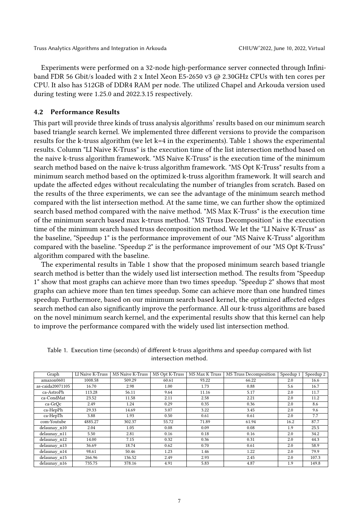Experiments were performed on a 32-node high-performance server connected through Infiniband FDR 56 Gbit/s loaded with 2 x Intel Xeon E5-2650 v3 @ 2.30GHz CPUs with ten cores per CPU. It also has 512GB of DDR4 RAM per node. The utilized Chapel and Arkouda version used during testing were 1.25.0 and 2022.3.15 respectively.

## 4.2 Performance Results

This part will provide three kinds of truss analysis algorithms' results based on our minimum search based triangle search kernel. We implemented three different versions to provide the comparison results for the k-truss algorithm (we let k=4 in the experiments). Table [1](#page-6-0) shows the experimental results. Column "LI Naive K-Truss" is the execution time of the list intersection method based on the naive k-truss algorithm framework. "MS Naive K-Truss" is the execution time of the minimum search method based on the naive k-truss algorithm framework. "MS Opt K-Truss" results from a minimum search method based on the optimized k-truss algorithm framework. It will search and update the affected edges without recalculating the number of triangles from scratch. Based on the results of the three experiments, we can see the advantage of the minimum search method compared with the list intersection method. At the same time, we can further show the optimized search based method compared with the naive method. "MS Max K-Truss" is the execution time of the minimum search based max k-truss method. "MS Truss Decomposition" is the execution time of the minimum search based truss decomposition method. We let the "LI Naive K-Truss" as the baseline, "Speedup 1" is the performance improvement of our "MS Naive K-Truss" algorithm compared with the baseline. "Speedup 2" is the performance improvement of our "MS Opt K-Truss" algorithm compared with the baseline.

The experimental results in Table [1](#page-6-0) show that the proposed minimum search based triangle search method is better than the widely used list intersection method. The results from "Speedup 1" show that most graphs can achieve more than two times speedup. "Speedup 2" shows that most graphs can achieve more than ten times speedup. Some can achieve more than one hundred times speedup. Furthermore, based on our minimum search based kernel, the optimized affected edges search method can also significantly improve the performance. All our k-truss algorithms are based on the novel minimum search kernel, and the experimental results show that this kernel can help to improve the performance compared with the widely used list intersection method.

<span id="page-6-0"></span>

| Table 1. Execution time (seconds) of different k-truss algorithms and speedup compared with list |
|--------------------------------------------------------------------------------------------------|
| intersection method.                                                                             |
|                                                                                                  |

| Graph            | LI Naive K-Truss | <b>MS Naive K-Truss</b> | MS Opt K-Truss | MS Max K Truss | MS Truss Decomposition | Speedup 1 | Speedup 2 |
|------------------|------------------|-------------------------|----------------|----------------|------------------------|-----------|-----------|
| amazon0601       | 1008.58          | 509.29                  | 60.61          | 93.22          | 66.22                  | 2.0       | 16.6      |
| as-caida20071105 | 16.70            | 2.98                    | 1.00           | 1.73           | 0.88                   | 5.6       | 16.7      |
| ca-AstroPh       | 113.28           | 56.11                   | 9.64           | 11.16          | 5.17                   | 2.0       | 11.7      |
| ca-CondMat       | 23.52            | 11.58                   | 2.11           | 2.58           | 2.21                   | 2.0       | 11.2      |
| ca-GrOc          | 2.49             | 1.24                    | 0.29           | 0.35           | 0.36                   | 2.0       | 8.6       |
| ca-HepPh         | 29.33            | 14.69                   | 3.07           | 3.22           | 3.45                   | 2.0       | 9.6       |
| ca-HepTh         | 3.88             | 1.93                    | 0.50           | 0.61           | 0.61                   | 2.0       | 7.7       |
| com-Youtube      | 4885.27          | 302.37                  | 55.72          | 71.89          | 61.94                  | 16.2      | 87.7      |
| delaunay n10     | 2.04             | 1.05                    | 0.08           | 0.09           | 0.08                   | 1.9       | 25.5      |
| delaunay_n11     | 5.50             | 2.81                    | 0.16           | 0.18           | 0.16                   | 2.0       | 34.2      |
| delaunay_n12     | 14.00            | 7.15                    | 0.32           | 0.36           | 0.31                   | 2.0       | 44.3      |
| delaunay_n13     | 36.69            | 18.74                   | 0.62           | 0.70           | 0.61                   | 2.0       | 58.9      |
| delaunay_n14     | 98.61            | 50.46                   | 1.23           | 1.46           | 1.22                   | 2.0       | 79.9      |
| delaunay_n15     | 266.96           | 136.52                  | 2.49           | 2.93           | 2.45                   | 2.0       | 107.3     |
| delaunay_n16     | 735.75           | 378.16                  | 4.91           | 5.83           | 4.87                   | 1.9       | 149.8     |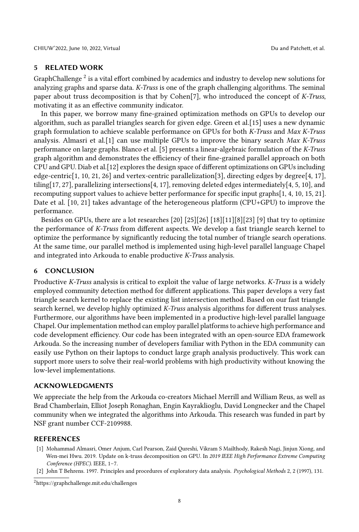## 5 RELATED WORK

GraphChallenge<sup>[2](#page-7-2)</sup> is a vital effort combined by academics and industry to develop new solutions for analyzing graphs and sparse data. K-Truss is one of the graph challenging algorithms. The seminal paper about truss decomposition is that by Cohen[\[7\]](#page-8-0), who introduced the concept of K-Truss, motivating it as an effective community indicator.

In this paper, we borrow many fine-grained optimization methods on GPUs to develop our algorithm, such as parallel triangles search for given edge. Green et al.[\[15\]](#page-8-11) uses a new dynamic graph formulation to achieve scalable performance on GPUs for both K-Truss and Max K-Truss analysis. Almasri et al.[\[1\]](#page-7-1) can use multiple GPUs to improve the binary search Max K-Truss performance on large graphs. Blanco et al. [\[5\]](#page-8-13) presents a linear-algebraic formulation of the K-Truss graph algorithm and demonstrates the efficiency of their fine-grained parallel approach on both CPU and GPU. Diab et al.[\[12\]](#page-8-14) explores the design space of different optimizations on GPUs including edge-centric[\[1,](#page-7-1) [10,](#page-8-10) [21,](#page-8-12) [26\]](#page-8-15) and vertex-centric parallelization[\[3\]](#page-8-16), directing edges by degree[\[4,](#page-8-9) [17\]](#page-8-17), tiling[\[17,](#page-8-17) [27\]](#page-8-18), parallelizing intersections[\[4,](#page-8-9) [17\]](#page-8-17), removing deleted edges intermediately[\[4,](#page-8-9) [5,](#page-8-13) [10\]](#page-8-10), and recomputing support values to achieve better performance for specific input graphs[\[1,](#page-7-1) [4,](#page-8-9) [10,](#page-8-10) [15,](#page-8-11) [21\]](#page-8-12). Date et al. [\[10,](#page-8-10) [21\]](#page-8-12) takes advantage of the heterogeneous platform (CPU+GPU) to improve the performance.

Besides on GPUs, there are a lot researches [\[20\]](#page-8-19) [\[25\]](#page-8-20)[\[26\]](#page-8-15) [\[18\]](#page-8-21)[\[11\]](#page-8-22)[\[8\]](#page-8-23)[\[23\]](#page-8-24) [\[9\]](#page-8-7) that try to optimize the performance of K-Truss from different aspects. We develop a fast triangle search kernel to optimize the performance by significantly reducing the total number of triangle search operations. At the same time, our parallel method is implemented using high-level parallel language Chapel and integrated into Arkouda to enable productive K-Truss analysis.

#### 6 CONCLUSION

Productive K-Truss analysis is critical to exploit the value of large networks. K-Truss is a widely employed community detection method for different applications. This paper develops a very fast triangle search kernel to replace the existing list intersection method. Based on our fast triangle search kernel, we develop highly optimized K-Truss analysis algorithms for different truss analyses. Furthermore, our algorithms have been implemented in a productive high-level parallel language Chapel. Our implementation method can employ parallel platforms to achieve high performance and code development efficiency. Our code has been integrated with an open-source EDA framework Arkouda. So the increasing number of developers familiar with Python in the EDA community can easily use Python on their laptops to conduct large graph analysis productively. This work can support more users to solve their real-world problems with high productivity without knowing the low-level implementations.

## ACKNOWLEDGMENTS

We appreciate the help from the Arkouda co-creators Michael Merrill and William Reus, as well as Brad Chamberlain, Elliot Joseph Ronaghan, Engin Kayraklioglu, David Longnecker and the Chapel community when we integrated the algorithms into Arkouda. This research was funded in part by NSF grant number CCF-2109988.

## REFERENCES

- <span id="page-7-1"></span>[1] Mohammad Almasri, Omer Anjum, Carl Pearson, Zaid Qureshi, Vikram S Mailthody, Rakesh Nagi, Jinjun Xiong, and Wen-mei Hwu. 2019. Update on k-truss decomposition on GPU. In 2019 IEEE High Performance Extreme Computing Conference (HPEC). IEEE, 1–7.
- <span id="page-7-0"></span>[2] John T Behrens. 1997. Principles and procedures of exploratory data analysis. Psychological Methods 2, 2 (1997), 131.

<span id="page-7-2"></span><sup>2</sup>https://graphchallenge.mit.edu/challenges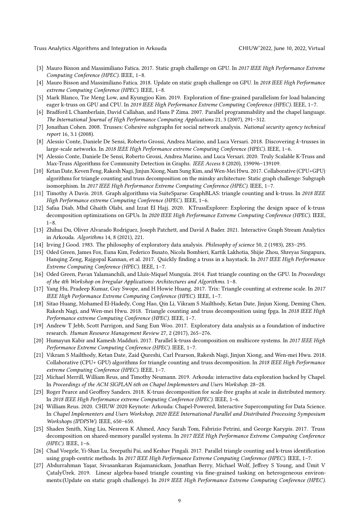Truss Analytics Algorithms and Integration in Arkouda CHIUW'2022, June 10, 2022, Virtual

- <span id="page-8-16"></span>[3] Mauro Bisson and Massimiliano Fatica. 2017. Static graph challenge on GPU. In 2017 IEEE High Performance Extreme Computing Conference (HPEC). IEEE, 1–8.
- <span id="page-8-9"></span>[4] Mauro Bisson and Massimiliano Fatica. 2018. Update on static graph challenge on GPU. In 2018 IEEE High Performance extreme Computing Conference (HPEC). IEEE, 1–8.
- <span id="page-8-13"></span>[5] Mark Blanco, Tze Meng Low, and Kyungjoo Kim. 2019. Exploration of fine-grained parallelism for load balancing eager k-truss on GPU and CPU. In 2019 IEEE High Performance Extreme Computing Conference (HPEC). IEEE, 1–7.
- <span id="page-8-5"></span>[6] Bradford L Chamberlain, David Callahan, and Hans P Zima. 2007. Parallel programmability and the chapel language. The International Journal of High Performance Computing Applications 21, 3 (2007), 291–312.
- <span id="page-8-0"></span>[7] Jonathan Cohen. 2008. Trusses: Cohesive subgraphs for social network analysis. National security agency technical report 16, 3.1 (2008).
- <span id="page-8-23"></span>[8] Alessio Conte, Daniele De Sensi, Roberto Grossi, Andrea Marino, and Luca Versari. 2018. Discovering k-trusses in large-scale networks. In 2018 IEEE High Performance extreme Computing Conference (HPEC). IEEE, 1–6.
- <span id="page-8-7"></span>[9] Alessio Conte, Daniele De Sensi, Roberto Grossi, Andrea Marino, and Luca Versari. 2020. Truly Scalable K-Truss and Max-Truss Algorithms for Community Detection in Graphs. IEEE Access 8 (2020), 139096–139109.
- <span id="page-8-10"></span>[10] Ketan Date, Keven Feng, Rakesh Nagi, Jinjun Xiong, Nam Sung Kim, and Wen-Mei Hwu. 2017. Collaborative (CPU+GPU) algorithms for triangle counting and truss decomposition on the minsky architecture: Static graph challenge: Subgraph isomorphism. In 2017 IEEE High Performance Extreme Computing Conference (HPEC). IEEE, 1–7.
- <span id="page-8-22"></span>[11] Timothy A Davis. 2018. Graph algorithms via SuiteSparse: GraphBLAS: triangle counting and k-truss. In 2018 IEEE High Performance extreme Computing Conference (HPEC). IEEE, 1–6.
- <span id="page-8-14"></span>[12] Safaa Diab, Mhd Ghaith Olabi, and Izzat El Hajj. 2020. KTrussExplorer: Exploring the design space of k-truss decomposition optimizations on GPUs. In 2020 IEEE High Performance Extreme Computing Conference (HPEC). IEEE,  $1 - 8$
- <span id="page-8-6"></span>[13] Zhihui Du, Oliver Alvarado Rodriguez, Joseph Patchett, and David A Bader. 2021. Interactive Graph Stream Analytics in Arkouda. Algorithms 14, 8 (2021), 221.
- <span id="page-8-1"></span>[14] Irving J Good. 1983. The philosophy of exploratory data analysis. Philosophy of science 50, 2 (1983), 283–295.
- <span id="page-8-11"></span>[15] Oded Green, James Fox, Euna Kim, Federico Busato, Nicola Bombieri, Kartik Lakhotia, Shijie Zhou, Shreyas Singapura, Hanqing Zeng, Rajgopal Kannan, et al. 2017. Quickly finding a truss in a haystack. In 2017 IEEE High Performance Extreme Computing Conference (HPEC). IEEE, 1–7.
- <span id="page-8-8"></span>[16] Oded Green, Pavan Yalamanchili, and Lluís-Miquel Munguía. 2014. Fast triangle counting on the GPU. In Proceedings of the 4th Workshop on Irregular Applications: Architectures and Algorithms. 1–8.
- <span id="page-8-17"></span>[17] Yang Hu, Pradeep Kumar, Guy Swope, and H Howie Huang. 2017. Trix: Triangle counting at extreme scale. In 2017 IEEE High Performance Extreme Computing Conference (HPEC). IEEE, 1–7.
- <span id="page-8-21"></span>[18] Sitao Huang, Mohamed El-Hadedy, Cong Hao, Qin Li, Vikram S Mailthody, Ketan Date, Jinjun Xiong, Deming Chen, Rakesh Nagi, and Wen-mei Hwu. 2018. Triangle counting and truss decomposition using fpga. In 2018 IEEE High Performance extreme Computing Conference (HPEC). IEEE, 1–7.
- <span id="page-8-2"></span>[19] Andrew T Jebb, Scott Parrigon, and Sang Eun Woo. 2017. Exploratory data analysis as a foundation of inductive research. Human Resource Management Review 27, 2 (2017), 265–276.
- <span id="page-8-19"></span>[20] Humayun Kabir and Kamesh Madduri. 2017. Parallel k-truss decomposition on multicore systems. In 2017 IEEE High Performance Extreme Computing Conference (HPEC). IEEE, 1–7.
- <span id="page-8-12"></span>[21] Vikram S Mailthody, Ketan Date, Zaid Qureshi, Carl Pearson, Rakesh Nagi, Jinjun Xiong, and Wen-mei Hwu. 2018. Collaborative (CPU+ GPU) algorithms for triangle counting and truss decomposition. In 2018 IEEE High Performance extreme Computing Conference (HPEC). IEEE, 1–7.
- <span id="page-8-3"></span>[22] Michael Merrill, William Reus, and Timothy Neumann. 2019. Arkouda: interactive data exploration backed by Chapel. In Proceedings of the ACM SIGPLAN 6th on Chapel Implementers and Users Workshop. 28–28.
- <span id="page-8-24"></span>[23] Roger Pearce and Geoffrey Sanders. 2018. K-truss decomposition for scale-free graphs at scale in distributed memory. In 2018 IEEE High Performance extreme Computing Conference (HPEC). IEEE, 1–6.
- <span id="page-8-4"></span>[24] William Reus. 2020. CHIUW 2020 Keynote: Arkouda: Chapel-Powered, Interactive Supercomputing for Data Science. In Chapel Implementers and Users Workshop, 2020 IEEE International Parallel and Distributed Processing Symposium Workshops (IPDPSW). IEEE, 650–650.
- <span id="page-8-20"></span>[25] Shaden Smith, Xing Liu, Nesreen K Ahmed, Ancy Sarah Tom, Fabrizio Petrini, and George Karypis. 2017. Truss decomposition on shared-memory parallel systems. In 2017 IEEE High Performance Extreme Computing Conference (HPEC). IEEE, 1–6.
- <span id="page-8-15"></span>[26] Chad Voegele, Yi-Shan Lu, Sreepathi Pai, and Keshav Pingali. 2017. Parallel triangle counting and k-truss identification using graph-centric methods. In 2017 IEEE High Performance Extreme Computing Conference (HPEC). IEEE, 1–7.
- <span id="page-8-18"></span>[27] Abdurrahman Yaşar, Sivasankaran Rajamanickam, Jonathan Berry, Michael Wolf, Jeffrey S Young, and Ümit V ÇatalyÜrek. 2019. Linear algebra-based triangle counting via fine-grained tasking on heterogeneous environments:(Update on static graph challenge). In 2019 IEEE High Performance Extreme Computing Conference (HPEC).